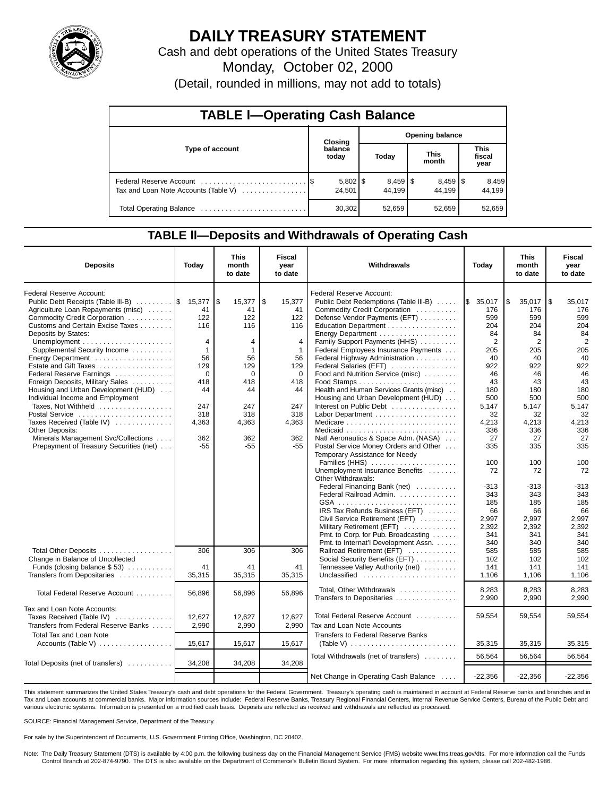

# **DAILY TREASURY STATEMENT**

Cash and debt operations of the United States Treasury Monday, October 02, 2000

(Detail, rounded in millions, may not add to totals)

| <b>TABLE I-Operating Cash Balance</b> |  |                        |                 |                                 |  |                                  |  |                               |  |  |
|---------------------------------------|--|------------------------|-----------------|---------------------------------|--|----------------------------------|--|-------------------------------|--|--|
|                                       |  | <b>Closing</b>         | Opening balance |                                 |  |                                  |  |                               |  |  |
| Type of account                       |  | balance<br>today       |                 | Today                           |  | <b>This</b><br>month             |  | <b>This</b><br>fiscal<br>year |  |  |
| Tax and Loan Note Accounts (Table V)  |  | $5,802$   \$<br>24.501 |                 | $8,459$ $\frac{8}{3}$<br>44.199 |  | $8,459$ $\frac{15}{3}$<br>44.199 |  | 8,459<br>44.199               |  |  |
| Total Operating Balance               |  | 30,302                 |                 | 52,659                          |  | 52,659                           |  | 52,659                        |  |  |

## **TABLE ll—Deposits and Withdrawals of Operating Cash**

| <b>Deposits</b>                                                                                                                                                                                                 | Today                                                          | <b>This</b><br>month<br>to date                         | Fiscal<br>year<br>to date                                      | Withdrawals                                                                                                                                                                                             | Today                                            | <b>This</b><br>month<br>to date                  | Fiscal<br>year<br>to date                        |
|-----------------------------------------------------------------------------------------------------------------------------------------------------------------------------------------------------------------|----------------------------------------------------------------|---------------------------------------------------------|----------------------------------------------------------------|---------------------------------------------------------------------------------------------------------------------------------------------------------------------------------------------------------|--------------------------------------------------|--------------------------------------------------|--------------------------------------------------|
| Federal Reserve Account:<br>Public Debt Receipts (Table III-B) $\ldots \ldots$<br>Agriculture Loan Repayments (misc)<br>Commodity Credit Corporation<br>Customs and Certain Excise Taxes<br>Deposits by States: | 15,377<br>41<br>122<br>116                                     | l\$<br>15,377<br>41<br>122<br>116                       | <b>S</b><br>15,377<br>41<br>122<br>116                         | Federal Reserve Account:<br>Public Debt Redemptions (Table III-B)<br>Commodity Credit Corporation<br>Defense Vendor Payments (EFT)<br>Education Department<br>Energy Department                         | \$35,017<br>176<br>599<br>204<br>84              | Ι\$<br>35,017<br>176<br>599<br>204<br>84         | l\$<br>35.017<br>176<br>599<br>204<br>84         |
| Unemployment $\dots\dots\dots\dots\dots\dots\dots\dots$<br>Supplemental Security Income<br>Energy Department<br>Estate and Gift Taxes<br>Federal Reserve Earnings<br>Foreign Deposits, Military Sales           | $\overline{4}$<br>$\mathbf{1}$<br>56<br>129<br>$\Omega$<br>418 | $\overline{4}$<br>$\mathbf{1}$<br>56<br>129<br>0<br>418 | $\overline{4}$<br>$\mathbf{1}$<br>56<br>129<br>$\Omega$<br>418 | Family Support Payments (HHS)<br>Federal Employees Insurance Payments<br>Federal Highway Administration<br>Federal Salaries (EFT)<br>Food and Nutrition Service (misc)                                  | 2<br>205<br>40<br>922<br>46<br>43                | $\overline{2}$<br>205<br>40<br>922<br>46<br>43   | $\overline{2}$<br>205<br>40<br>922<br>46<br>43   |
| Housing and Urban Development (HUD)<br>Individual Income and Employment<br>Taxes, Not Withheld<br>Postal Service<br>Taxes Received (Table IV)<br><b>Other Deposits:</b><br>Minerals Management Svc/Collections  | 44<br>247<br>318<br>4,363<br>362                               | 44<br>247<br>318<br>4,363<br>362                        | 44<br>247<br>318<br>4,363<br>362                               | Health and Human Services Grants (misc).<br>Housing and Urban Development (HUD)<br>Interest on Public Debt<br>Natl Aeronautics & Space Adm. (NASA)                                                      | 180<br>500<br>5,147<br>32<br>4,213<br>336<br>27  | 180<br>500<br>5,147<br>32<br>4,213<br>336<br>27  | 180<br>500<br>5,147<br>32<br>4,213<br>336<br>27  |
| Prepayment of Treasury Securities (net)                                                                                                                                                                         | $-55$                                                          | $-55$                                                   | $-55$                                                          | Postal Service Money Orders and Other<br>Temporary Assistance for Needy<br>Families (HHS)<br>Unemployment Insurance Benefits<br>Other Withdrawals:<br>Federal Financing Bank (net)                      | 335<br>100<br>72<br>-313                         | 335<br>100<br>72<br>-313                         | 335<br>100<br>72<br>$-313$                       |
|                                                                                                                                                                                                                 |                                                                |                                                         |                                                                | Federal Railroad Admin.<br>IRS Tax Refunds Business (EFT)<br>Civil Service Retirement (EFT)<br>Military Retirement (EFT)<br>Pmt. to Corp. for Pub. Broadcasting<br>Pmt. to Internat'l Development Assn. | 343<br>185<br>66<br>2,997<br>2,392<br>341<br>340 | 343<br>185<br>66<br>2,997<br>2,392<br>341<br>340 | 343<br>185<br>66<br>2,997<br>2,392<br>341<br>340 |
| Total Other Deposits<br>Change in Balance of Uncollected<br>Funds (closing balance $$53$ )<br>Transfers from Depositaries                                                                                       | 306<br>41<br>35,315                                            | 306<br>41<br>35,315                                     | 306<br>41<br>35,315                                            | Railroad Retirement (EFT)<br>Social Security Benefits (EFT)<br>Tennessee Valley Authority (net)<br>Unclassified                                                                                         | 585<br>102<br>141<br>1,106                       | 585<br>102<br>141<br>1,106                       | 585<br>102<br>141<br>1,106                       |
| Total Federal Reserve Account                                                                                                                                                                                   | 56,896                                                         | 56,896                                                  | 56,896                                                         | Total. Other Withdrawals<br>Transfers to Depositaries                                                                                                                                                   | 8,283<br>2,990                                   | 8.283<br>2,990                                   | 8,283<br>2,990                                   |
| Tax and Loan Note Accounts:<br>Taxes Received (Table IV)<br>Transfers from Federal Reserve Banks<br>Total Tax and Loan Note                                                                                     | 12,627<br>2,990                                                | 12,627<br>2,990                                         | 12,627<br>2,990                                                | Total Federal Reserve Account<br>Tax and Loan Note Accounts                                                                                                                                             | 59,554                                           | 59,554                                           | 59,554                                           |
| Accounts (Table V)                                                                                                                                                                                              | 15,617                                                         | 15,617                                                  | 15,617                                                         | Transfers to Federal Reserve Banks<br>(Table V) $\ldots \ldots \ldots \ldots \ldots \ldots \ldots \ldots$<br>Total Withdrawals (net of transfers)                                                       | 35,315<br>56,564                                 | 35,315<br>56,564                                 | 35,315<br>56,564                                 |
| Total Deposits (net of transfers)                                                                                                                                                                               | 34,208                                                         | 34,208                                                  | 34,208                                                         | Net Change in Operating Cash Balance                                                                                                                                                                    | $-22,356$                                        | $-22,356$                                        | $-22.356$                                        |

This statement summarizes the United States Treasury's cash and debt operations for the Federal Government. Treasury's operating cash is maintained in account at Federal Reserve banks and branches and in Tax and Loan accounts at commercial banks. Major information sources include: Federal Reserve Banks, Treasury Regional Financial Centers, Internal Revenue Service Centers, Bureau of the Public Debt and various electronic systems. Information is presented on a modified cash basis. Deposits are reflected as received and withdrawals are reflected as processed.

SOURCE: Financial Management Service, Department of the Treasury.

For sale by the Superintendent of Documents, U.S. Government Printing Office, Washington, DC 20402.

Note: The Daily Treasury Statement (DTS) is available by 4:00 p.m. the following business day on the Financial Management Service (FMS) website www.fms.treas.gov/dts. For more information call the Funds Control Branch at 202-874-9790. The DTS is also available on the Department of Commerce's Bulletin Board System. For more information regarding this system, please call 202-482-1986.